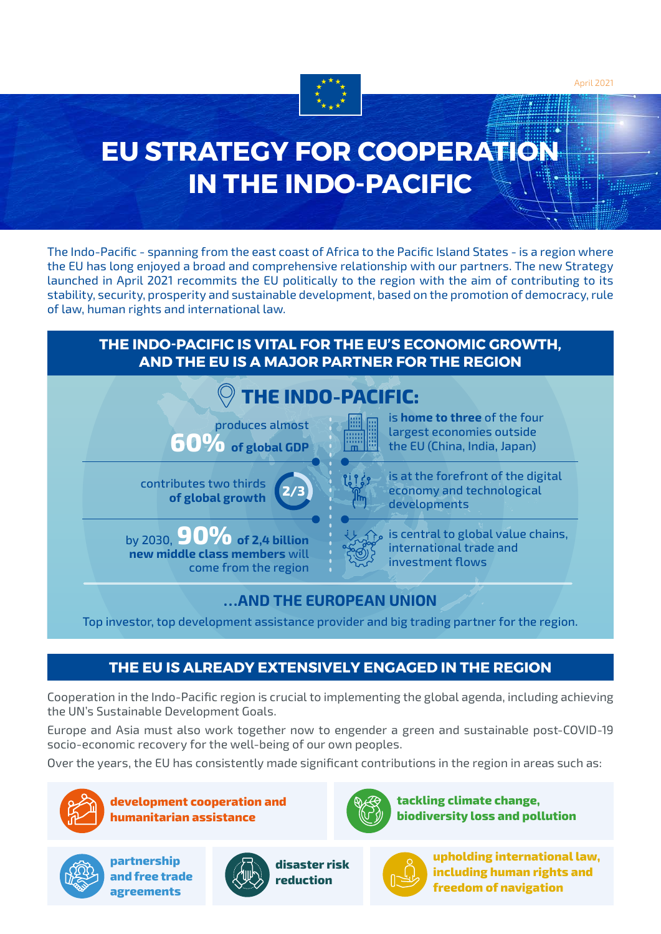

# **EU STRATEGY FOR COOPERATION IN THE INDO-PACIFIC**

The Indo-Pacific - spanning from the east coast of Africa to the Pacific Island States - is a region where the EU has long enjoyed a broad and comprehensive relationship with our partners. The new Strategy launched in April 2021 recommits the EU politically to the region with the aim of contributing to its stability, security, prosperity and sustainable development, based on the promotion of democracy, rule of law, human rights and international law.



## **THE EU IS ALREADY EXTENSIVELY ENGAGED IN THE REGION**

Cooperation in the Indo-Pacific region is crucial to implementing the global agenda, including achieving the UN's Sustainable Development Goals.

Europe and Asia must also work together now to engender a green and sustainable post-COVID-19 socio-economic recovery for the well-being of our own peoples.

Over the years, the EU has consistently made significant contributions in the region in areas such as:



**development cooperation and humanitarian assistance**



**partnership and free trade agreements**





**upholding international law, including human rights and freedom of navigation**

**tackling climate change,** 

**biodiversity loss and pollution**

April 2021